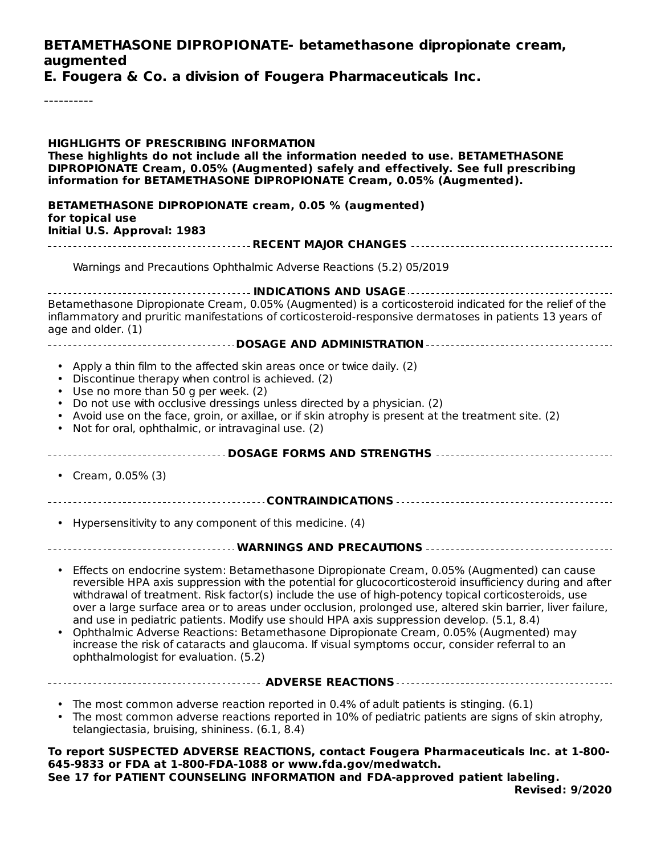#### **BETAMETHASONE DIPROPIONATE- betamethasone dipropionate cream, augmented**

**E. Fougera & Co. a division of Fougera Pharmaceuticals Inc.**

----------

**HIGHLIGHTS OF PRESCRIBING INFORMATION These highlights do not include all the information needed to use. BETAMETHASONE DIPROPIONATE Cream, 0.05% (Augmented) safely and effectively. See full prescribing information for BETAMETHASONE DIPROPIONATE Cream, 0.05% (Augmented). BETAMETHASONE DIPROPIONATE cream, 0.05 % (augmented) for topical use Initial U.S. Approval: 1983 RECENT MAJOR CHANGES INDICATIONS AND USAGE** Betamethasone Dipropionate Cream, 0.05% (Augmented) is a corticosteroid indicated for the relief of the inflammatory and pruritic manifestations of corticosteroid-responsive dermatoses in patients 13 years of age and older. (1) **DOSAGE AND ADMINISTRATION** • Apply a thin film to the affected skin areas once or twice daily. (2) • Discontinue therapy when control is achieved. (2) • Use no more than 50 g per week. (2) • Do not use with occlusive dressings unless directed by a physician. (2) • Avoid use on the face, groin, or axillae, or if skin atrophy is present at the treatment site. (2) • Not for oral, ophthalmic, or intravaginal use. (2) **DOSAGE FORMS AND STRENGTHS** • Cream, 0.05% (3) **CONTRAINDICATIONS** • Hypersensitivity to any component of this medicine. (4) **WARNINGS AND PRECAUTIONS** • Effects on endocrine system: Betamethasone Dipropionate Cream, 0.05% (Augmented) can cause • Ophthalmic Adverse Reactions: Betamethasone Dipropionate Cream, 0.05% (Augmented) may **ADVERSE REACTIONS** • The most common adverse reaction reported in 0.4% of adult patients is stinging. (6.1) • The most common adverse reactions reported in 10% of pediatric patients are signs of skin atrophy, **To report SUSPECTED ADVERSE REACTIONS, contact Fougera Pharmaceuticals Inc. at 1-800- 645-9833 or FDA at 1-800-FDA-1088 or www.fda.gov/medwatch.** Warnings and Precautions Ophthalmic Adverse Reactions (5.2) 05/2019 reversible HPA axis suppression with the potential for glucocorticosteroid insufficiency during and after withdrawal of treatment. Risk factor(s) include the use of high-potency topical corticosteroids, use over a large surface area or to areas under occlusion, prolonged use, altered skin barrier, liver failure, and use in pediatric patients. Modify use should HPA axis suppression develop. (5.1, 8.4) increase the risk of cataracts and glaucoma. If visual symptoms occur, consider referral to an ophthalmologist for evaluation. (5.2) telangiectasia, bruising, shininess. (6.1, 8.4)

**See 17 for PATIENT COUNSELING INFORMATION and FDA-approved patient labeling.**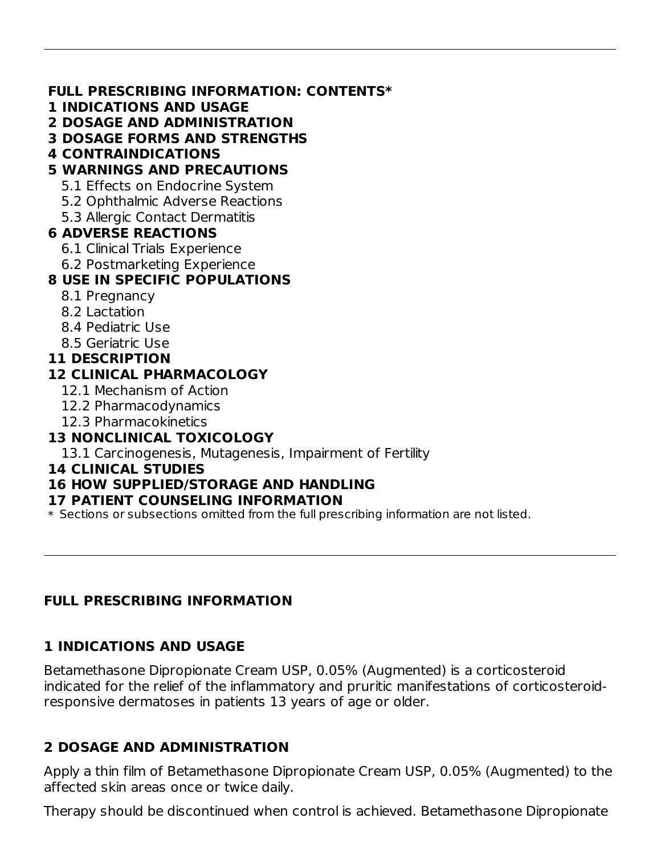#### **FULL PRESCRIBING INFORMATION: CONTENTS\***

- **1 INDICATIONS AND USAGE**
- **2 DOSAGE AND ADMINISTRATION**
- **3 DOSAGE FORMS AND STRENGTHS**
- **4 CONTRAINDICATIONS**

# **5 WARNINGS AND PRECAUTIONS**

- 5.1 Effects on Endocrine System
- 5.2 Ophthalmic Adverse Reactions
- 5.3 Allergic Contact Dermatitis

## **6 ADVERSE REACTIONS**

- 6.1 Clinical Trials Experience
- 6.2 Postmarketing Experience

# **8 USE IN SPECIFIC POPULATIONS**

- 8.1 Pregnancy
- 8.2 Lactation
- 8.4 Pediatric Use
- 8.5 Geriatric Use

#### **11 DESCRIPTION**

#### **12 CLINICAL PHARMACOLOGY**

- 12.1 Mechanism of Action
- 12.2 Pharmacodynamics
- 12.3 Pharmacokinetics

## **13 NONCLINICAL TOXICOLOGY**

13.1 Carcinogenesis, Mutagenesis, Impairment of Fertility

#### **14 CLINICAL STUDIES**

## **16 HOW SUPPLIED/STORAGE AND HANDLING**

#### **17 PATIENT COUNSELING INFORMATION**

 $\ast$  Sections or subsections omitted from the full prescribing information are not listed.

## **FULL PRESCRIBING INFORMATION**

# **1 INDICATIONS AND USAGE**

Betamethasone Dipropionate Cream USP, 0.05% (Augmented) is a corticosteroid indicated for the relief of the inflammatory and pruritic manifestations of corticosteroidresponsive dermatoses in patients 13 years of age or older.

## **2 DOSAGE AND ADMINISTRATION**

Apply a thin film of Betamethasone Dipropionate Cream USP, 0.05% (Augmented) to the affected skin areas once or twice daily.

Therapy should be discontinued when control is achieved. Betamethasone Dipropionate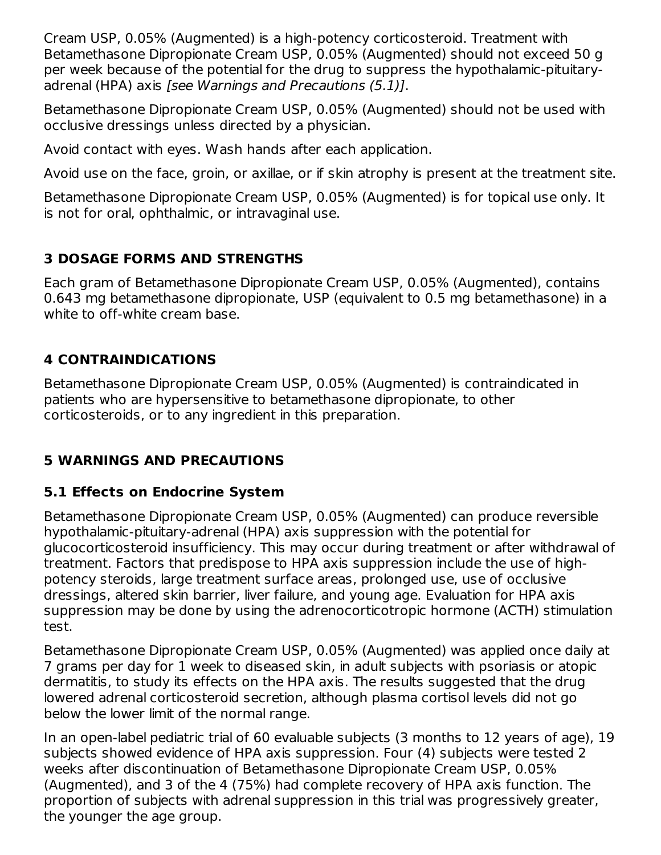Cream USP, 0.05% (Augmented) is a high-potency corticosteroid. Treatment with Betamethasone Dipropionate Cream USP, 0.05% (Augmented) should not exceed 50 g per week because of the potential for the drug to suppress the hypothalamic-pituitaryadrenal (HPA) axis [see Warnings and Precautions (5.1)].

Betamethasone Dipropionate Cream USP, 0.05% (Augmented) should not be used with occlusive dressings unless directed by a physician.

Avoid contact with eyes. Wash hands after each application.

Avoid use on the face, groin, or axillae, or if skin atrophy is present at the treatment site.

Betamethasone Dipropionate Cream USP, 0.05% (Augmented) is for topical use only. It is not for oral, ophthalmic, or intravaginal use.

# **3 DOSAGE FORMS AND STRENGTHS**

Each gram of Betamethasone Dipropionate Cream USP, 0.05% (Augmented), contains 0.643 mg betamethasone dipropionate, USP (equivalent to 0.5 mg betamethasone) in a white to off-white cream base.

# **4 CONTRAINDICATIONS**

Betamethasone Dipropionate Cream USP, 0.05% (Augmented) is contraindicated in patients who are hypersensitive to betamethasone dipropionate, to other corticosteroids, or to any ingredient in this preparation.

# **5 WARNINGS AND PRECAUTIONS**

# **5.1 Effects on Endocrine System**

Betamethasone Dipropionate Cream USP, 0.05% (Augmented) can produce reversible hypothalamic-pituitary-adrenal (HPA) axis suppression with the potential for glucocorticosteroid insufficiency. This may occur during treatment or after withdrawal of treatment. Factors that predispose to HPA axis suppression include the use of highpotency steroids, large treatment surface areas, prolonged use, use of occlusive dressings, altered skin barrier, liver failure, and young age. Evaluation for HPA axis suppression may be done by using the adrenocorticotropic hormone (ACTH) stimulation test.

Betamethasone Dipropionate Cream USP, 0.05% (Augmented) was applied once daily at 7 grams per day for 1 week to diseased skin, in adult subjects with psoriasis or atopic dermatitis, to study its effects on the HPA axis. The results suggested that the drug lowered adrenal corticosteroid secretion, although plasma cortisol levels did not go below the lower limit of the normal range.

In an open-label pediatric trial of 60 evaluable subjects (3 months to 12 years of age), 19 subjects showed evidence of HPA axis suppression. Four (4) subjects were tested 2 weeks after discontinuation of Betamethasone Dipropionate Cream USP, 0.05% (Augmented), and 3 of the 4 (75%) had complete recovery of HPA axis function. The proportion of subjects with adrenal suppression in this trial was progressively greater, the younger the age group.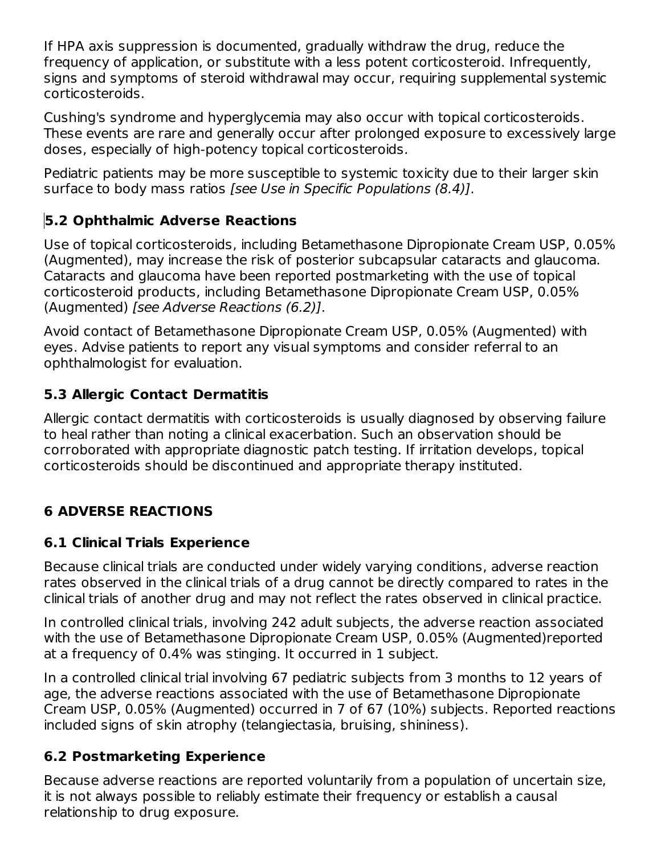If HPA axis suppression is documented, gradually withdraw the drug, reduce the frequency of application, or substitute with a less potent corticosteroid. Infrequently, signs and symptoms of steroid withdrawal may occur, requiring supplemental systemic corticosteroids.

Cushing's syndrome and hyperglycemia may also occur with topical corticosteroids. These events are rare and generally occur after prolonged exposure to excessively large doses, especially of high-potency topical corticosteroids.

Pediatric patients may be more susceptible to systemic toxicity due to their larger skin surface to body mass ratios [see Use in Specific Populations (8.4)].

# **5.2 Ophthalmic Adverse Reactions**

Use of topical corticosteroids, including Betamethasone Dipropionate Cream USP, 0.05% (Augmented), may increase the risk of posterior subcapsular cataracts and glaucoma. Cataracts and glaucoma have been reported postmarketing with the use of topical corticosteroid products, including Betamethasone Dipropionate Cream USP, 0.05% (Augmented) [see Adverse Reactions (6.2)].

Avoid contact of Betamethasone Dipropionate Cream USP, 0.05% (Augmented) with eyes. Advise patients to report any visual symptoms and consider referral to an ophthalmologist for evaluation.

# **5.3 Allergic Contact Dermatitis**

Allergic contact dermatitis with corticosteroids is usually diagnosed by observing failure to heal rather than noting a clinical exacerbation. Such an observation should be corroborated with appropriate diagnostic patch testing. If irritation develops, topical corticosteroids should be discontinued and appropriate therapy instituted.

# **6 ADVERSE REACTIONS**

## **6.1 Clinical Trials Experience**

Because clinical trials are conducted under widely varying conditions, adverse reaction rates observed in the clinical trials of a drug cannot be directly compared to rates in the clinical trials of another drug and may not reflect the rates observed in clinical practice.

In controlled clinical trials, involving 242 adult subjects, the adverse reaction associated with the use of Betamethasone Dipropionate Cream USP, 0.05% (Augmented)reported at a frequency of 0.4% was stinging. It occurred in 1 subject.

In a controlled clinical trial involving 67 pediatric subjects from 3 months to 12 years of age, the adverse reactions associated with the use of Betamethasone Dipropionate Cream USP, 0.05% (Augmented) occurred in 7 of 67 (10%) subjects. Reported reactions included signs of skin atrophy (telangiectasia, bruising, shininess).

## **6.2 Postmarketing Experience**

Because adverse reactions are reported voluntarily from a population of uncertain size, it is not always possible to reliably estimate their frequency or establish a causal relationship to drug exposure.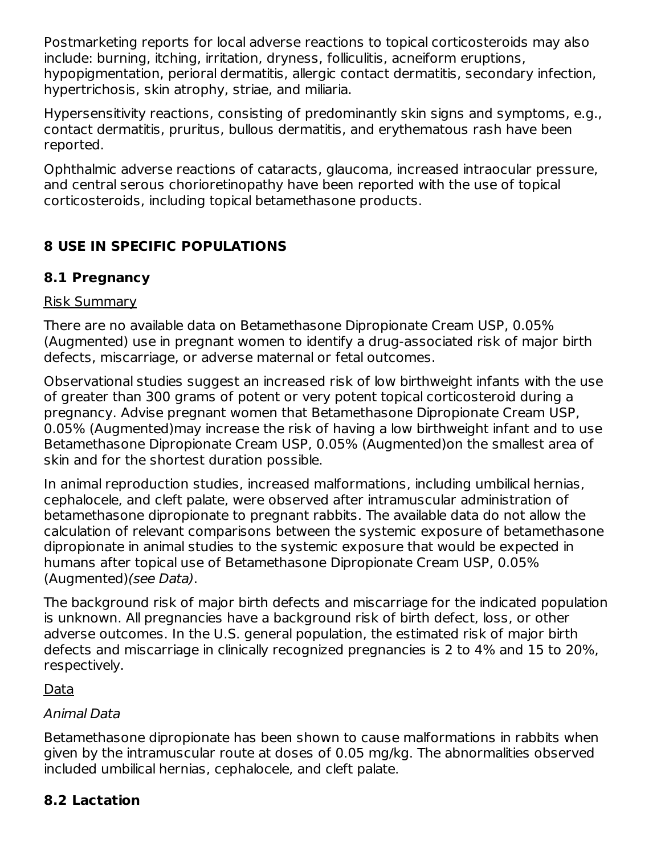Postmarketing reports for local adverse reactions to topical corticosteroids may also include: burning, itching, irritation, dryness, folliculitis, acneiform eruptions, hypopigmentation, perioral dermatitis, allergic contact dermatitis, secondary infection, hypertrichosis, skin atrophy, striae, and miliaria.

Hypersensitivity reactions, consisting of predominantly skin signs and symptoms, e.g., contact dermatitis, pruritus, bullous dermatitis, and erythematous rash have been reported.

Ophthalmic adverse reactions of cataracts, glaucoma, increased intraocular pressure, and central serous chorioretinopathy have been reported with the use of topical corticosteroids, including topical betamethasone products.

# **8 USE IN SPECIFIC POPULATIONS**

# **8.1 Pregnancy**

#### Risk Summary

There are no available data on Betamethasone Dipropionate Cream USP, 0.05% (Augmented) use in pregnant women to identify a drug-associated risk of major birth defects, miscarriage, or adverse maternal or fetal outcomes.

Observational studies suggest an increased risk of low birthweight infants with the use of greater than 300 grams of potent or very potent topical corticosteroid during a pregnancy. Advise pregnant women that Betamethasone Dipropionate Cream USP, 0.05% (Augmented)may increase the risk of having a low birthweight infant and to use Betamethasone Dipropionate Cream USP, 0.05% (Augmented)on the smallest area of skin and for the shortest duration possible.

In animal reproduction studies, increased malformations, including umbilical hernias, cephalocele, and cleft palate, were observed after intramuscular administration of betamethasone dipropionate to pregnant rabbits. The available data do not allow the calculation of relevant comparisons between the systemic exposure of betamethasone dipropionate in animal studies to the systemic exposure that would be expected in humans after topical use of Betamethasone Dipropionate Cream USP, 0.05% (Augmented)(see Data).

The background risk of major birth defects and miscarriage for the indicated population is unknown. All pregnancies have a background risk of birth defect, loss, or other adverse outcomes. In the U.S. general population, the estimated risk of major birth defects and miscarriage in clinically recognized pregnancies is 2 to 4% and 15 to 20%, respectively.

Data

## Animal Data

Betamethasone dipropionate has been shown to cause malformations in rabbits when given by the intramuscular route at doses of 0.05 mg/kg. The abnormalities observed included umbilical hernias, cephalocele, and cleft palate.

# **8.2 Lactation**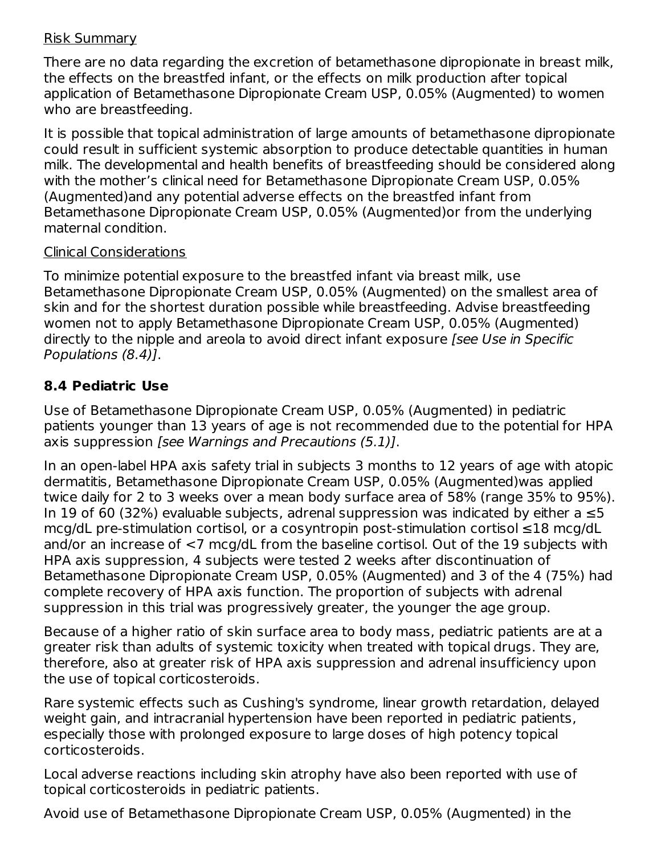#### Risk Summary

There are no data regarding the excretion of betamethasone dipropionate in breast milk, the effects on the breastfed infant, or the effects on milk production after topical application of Betamethasone Dipropionate Cream USP, 0.05% (Augmented) to women who are breastfeeding.

It is possible that topical administration of large amounts of betamethasone dipropionate could result in sufficient systemic absorption to produce detectable quantities in human milk. The developmental and health benefits of breastfeeding should be considered along with the mother's clinical need for Betamethasone Dipropionate Cream USP, 0.05% (Augmented)and any potential adverse effects on the breastfed infant from Betamethasone Dipropionate Cream USP, 0.05% (Augmented)or from the underlying maternal condition.

#### Clinical Considerations

To minimize potential exposure to the breastfed infant via breast milk, use Betamethasone Dipropionate Cream USP, 0.05% (Augmented) on the smallest area of skin and for the shortest duration possible while breastfeeding. Advise breastfeeding women not to apply Betamethasone Dipropionate Cream USP, 0.05% (Augmented) directly to the nipple and areola to avoid direct infant exposure [see Use in Specific Populations (8.4)].

# **8.4 Pediatric Use**

Use of Betamethasone Dipropionate Cream USP, 0.05% (Augmented) in pediatric patients younger than 13 years of age is not recommended due to the potential for HPA axis suppression [see Warnings and Precautions (5.1)].

In an open-label HPA axis safety trial in subjects 3 months to 12 years of age with atopic dermatitis, Betamethasone Dipropionate Cream USP, 0.05% (Augmented)was applied twice daily for 2 to 3 weeks over a mean body surface area of 58% (range 35% to 95%). In 19 of 60 (32%) evaluable subjects, adrenal suppression was indicated by either a  $≤5$ mcg/dL pre-stimulation cortisol, or a cosyntropin post-stimulation cortisol ≤18 mcg/dL and/or an increase of <7 mcg/dL from the baseline cortisol. Out of the 19 subjects with HPA axis suppression, 4 subjects were tested 2 weeks after discontinuation of Betamethasone Dipropionate Cream USP, 0.05% (Augmented) and 3 of the 4 (75%) had complete recovery of HPA axis function. The proportion of subjects with adrenal suppression in this trial was progressively greater, the younger the age group.

Because of a higher ratio of skin surface area to body mass, pediatric patients are at a greater risk than adults of systemic toxicity when treated with topical drugs. They are, therefore, also at greater risk of HPA axis suppression and adrenal insufficiency upon the use of topical corticosteroids.

Rare systemic effects such as Cushing's syndrome, linear growth retardation, delayed weight gain, and intracranial hypertension have been reported in pediatric patients, especially those with prolonged exposure to large doses of high potency topical corticosteroids.

Local adverse reactions including skin atrophy have also been reported with use of topical corticosteroids in pediatric patients.

Avoid use of Betamethasone Dipropionate Cream USP, 0.05% (Augmented) in the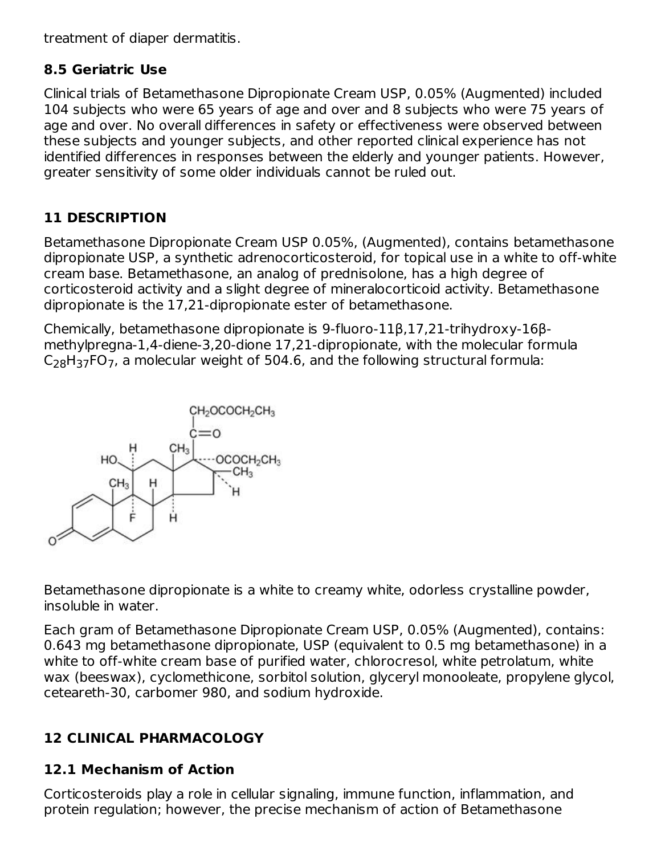treatment of diaper dermatitis.

## **8.5 Geriatric Use**

Clinical trials of Betamethasone Dipropionate Cream USP, 0.05% (Augmented) included 104 subjects who were 65 years of age and over and 8 subjects who were 75 years of age and over. No overall differences in safety or effectiveness were observed between these subjects and younger subjects, and other reported clinical experience has not identified differences in responses between the elderly and younger patients. However, greater sensitivity of some older individuals cannot be ruled out.

# **11 DESCRIPTION**

Betamethasone Dipropionate Cream USP 0.05%, (Augmented), contains betamethasone dipropionate USP, a synthetic adrenocorticosteroid, for topical use in a white to off-white cream base. Betamethasone, an analog of prednisolone, has a high degree of corticosteroid activity and a slight degree of mineralocorticoid activity. Betamethasone dipropionate is the 17,21-dipropionate ester of betamethasone.

Chemically, betamethasone dipropionate is 9-fluoro-11β,17,21-trihydroxy-16βmethylpregna-1,4-diene-3,20-dione 17,21-dipropionate, with the molecular formula  $C_{28}H_{37}$ FO<sub>7</sub>, a molecular weight of 504.6, and the following structural formula:



Betamethasone dipropionate is a white to creamy white, odorless crystalline powder, insoluble in water.

Each gram of Betamethasone Dipropionate Cream USP, 0.05% (Augmented), contains: 0.643 mg betamethasone dipropionate, USP (equivalent to 0.5 mg betamethasone) in a white to off-white cream base of purified water, chlorocresol, white petrolatum, white wax (beeswax), cyclomethicone, sorbitol solution, glyceryl monooleate, propylene glycol, ceteareth-30, carbomer 980, and sodium hydroxide.

# **12 CLINICAL PHARMACOLOGY**

# **12.1 Mechanism of Action**

Corticosteroids play a role in cellular signaling, immune function, inflammation, and protein regulation; however, the precise mechanism of action of Betamethasone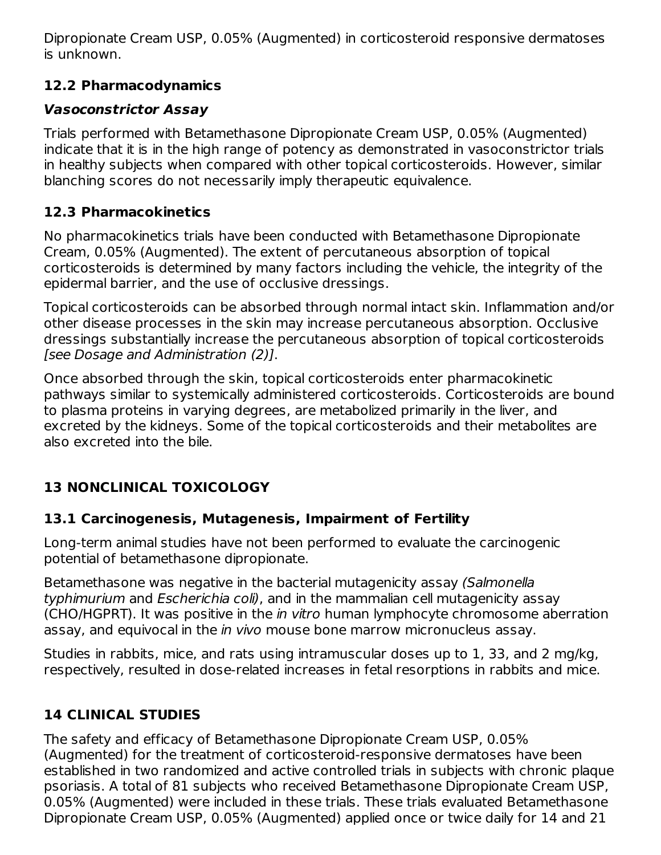Dipropionate Cream USP, 0.05% (Augmented) in corticosteroid responsive dermatoses is unknown.

# **12.2 Pharmacodynamics**

# **Vasoconstrictor Assay**

Trials performed with Betamethasone Dipropionate Cream USP, 0.05% (Augmented) indicate that it is in the high range of potency as demonstrated in vasoconstrictor trials in healthy subjects when compared with other topical corticosteroids. However, similar blanching scores do not necessarily imply therapeutic equivalence.

# **12.3 Pharmacokinetics**

No pharmacokinetics trials have been conducted with Betamethasone Dipropionate Cream, 0.05% (Augmented). The extent of percutaneous absorption of topical corticosteroids is determined by many factors including the vehicle, the integrity of the epidermal barrier, and the use of occlusive dressings.

Topical corticosteroids can be absorbed through normal intact skin. Inflammation and/or other disease processes in the skin may increase percutaneous absorption. Occlusive dressings substantially increase the percutaneous absorption of topical corticosteroids [see Dosage and Administration (2)].

Once absorbed through the skin, topical corticosteroids enter pharmacokinetic pathways similar to systemically administered corticosteroids. Corticosteroids are bound to plasma proteins in varying degrees, are metabolized primarily in the liver, and excreted by the kidneys. Some of the topical corticosteroids and their metabolites are also excreted into the bile.

# **13 NONCLINICAL TOXICOLOGY**

# **13.1 Carcinogenesis, Mutagenesis, Impairment of Fertility**

Long-term animal studies have not been performed to evaluate the carcinogenic potential of betamethasone dipropionate.

Betamethasone was negative in the bacterial mutagenicity assay (Salmonella typhimurium and Escherichia coli), and in the mammalian cell mutagenicity assay (CHO/HGPRT). It was positive in the in vitro human lymphocyte chromosome aberration assay, and equivocal in the *in vivo* mouse bone marrow micronucleus assay.

Studies in rabbits, mice, and rats using intramuscular doses up to 1, 33, and 2 mg/kg, respectively, resulted in dose-related increases in fetal resorptions in rabbits and mice.

# **14 CLINICAL STUDIES**

The safety and efficacy of Betamethasone Dipropionate Cream USP, 0.05% (Augmented) for the treatment of corticosteroid-responsive dermatoses have been established in two randomized and active controlled trials in subjects with chronic plaque psoriasis. A total of 81 subjects who received Betamethasone Dipropionate Cream USP, 0.05% (Augmented) were included in these trials. These trials evaluated Betamethasone Dipropionate Cream USP, 0.05% (Augmented) applied once or twice daily for 14 and 21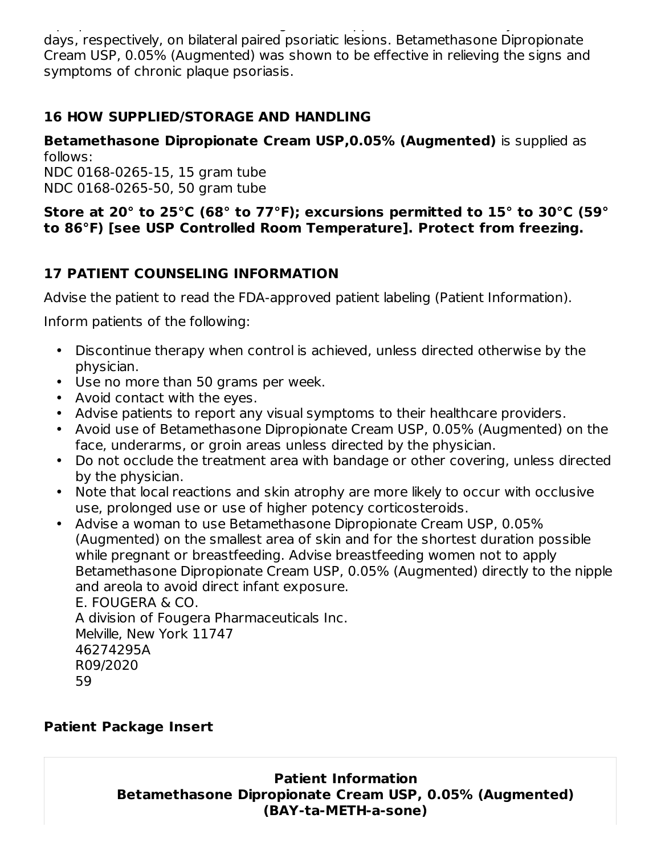Dipropionate Cream USP, 0.05% (Augmented) applied once or twice daily for 14 and 21 days, respectively, on bilateral paired psoriatic lesions. Betamethasone Dipropionate Cream USP, 0.05% (Augmented) was shown to be effective in relieving the signs and symptoms of chronic plaque psoriasis.

# **16 HOW SUPPLIED/STORAGE AND HANDLING**

**Betamethasone Dipropionate Cream USP,0.05% (Augmented)** is supplied as follows:

NDC 0168-0265-15, 15 gram tube NDC 0168-0265-50, 50 gram tube

#### **Store at 20° to 25°C (68° to 77°F); excursions permitted to 15° to 30°C (59° to 86°F) [see USP Controlled Room Temperature]. Protect from freezing.**

# **17 PATIENT COUNSELING INFORMATION**

Advise the patient to read the FDA-approved patient labeling (Patient Information).

Inform patients of the following:

- Discontinue therapy when control is achieved, unless directed otherwise by the physician.
- Use no more than 50 grams per week.
- Avoid contact with the eyes.
- Advise patients to report any visual symptoms to their healthcare providers.
- Avoid use of Betamethasone Dipropionate Cream USP, 0.05% (Augmented) on the face, underarms, or groin areas unless directed by the physician.
- Do not occlude the treatment area with bandage or other covering, unless directed by the physician.
- Note that local reactions and skin atrophy are more likely to occur with occlusive use, prolonged use or use of higher potency corticosteroids.
- Advise a woman to use Betamethasone Dipropionate Cream USP, 0.05% (Augmented) on the smallest area of skin and for the shortest duration possible while pregnant or breastfeeding. Advise breastfeeding women not to apply Betamethasone Dipropionate Cream USP, 0.05% (Augmented) directly to the nipple and areola to avoid direct infant exposure.

E. FOUGERA & CO. A division of Fougera Pharmaceuticals Inc. Melville, New York 11747 46274295A R09/2020 59

## **Patient Package Insert**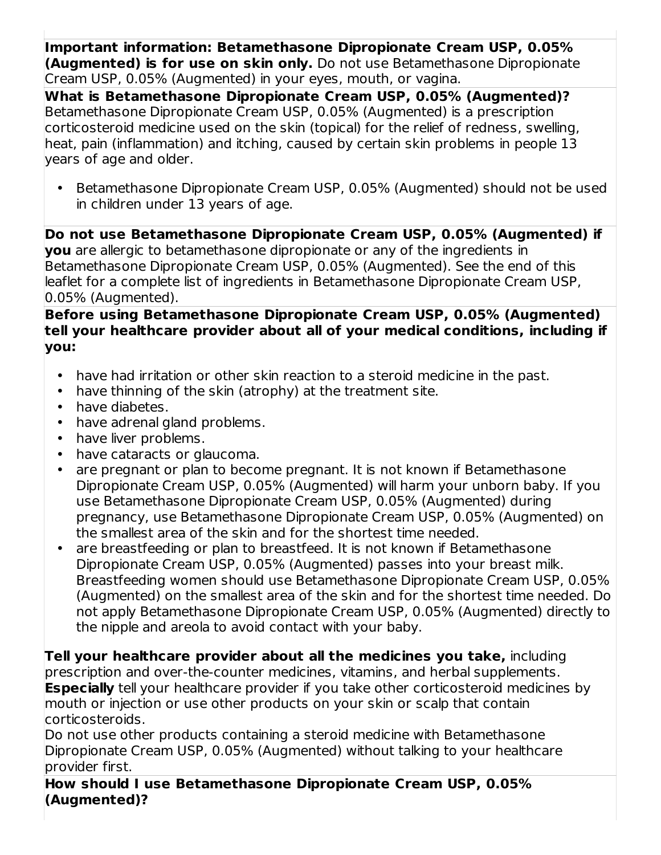**Important information: Betamethasone Dipropionate Cream USP, 0.05% (Augmented) is for use on skin only.** Do not use Betamethasone Dipropionate Cream USP, 0.05% (Augmented) in your eyes, mouth, or vagina.

**What is Betamethasone Dipropionate Cream USP, 0.05% (Augmented)?** Betamethasone Dipropionate Cream USP, 0.05% (Augmented) is a prescription corticosteroid medicine used on the skin (topical) for the relief of redness, swelling, heat, pain (inflammation) and itching, caused by certain skin problems in people 13 years of age and older.

• Betamethasone Dipropionate Cream USP, 0.05% (Augmented) should not be used in children under 13 years of age.

**Do not use Betamethasone Dipropionate Cream USP, 0.05% (Augmented) if you** are allergic to betamethasone dipropionate or any of the ingredients in Betamethasone Dipropionate Cream USP, 0.05% (Augmented). See the end of this leaflet for a complete list of ingredients in Betamethasone Dipropionate Cream USP, 0.05% (Augmented).

#### **Before using Betamethasone Dipropionate Cream USP, 0.05% (Augmented) tell your healthcare provider about all of your medical conditions, including if you:**

- have had irritation or other skin reaction to a steroid medicine in the past.
- have thinning of the skin (atrophy) at the treatment site.
- $\bullet$ have diabetes.
- have adrenal gland problems.
- have liver problems.
- have cataracts or glaucoma.
- are pregnant or plan to become pregnant. It is not known if Betamethasone Dipropionate Cream USP, 0.05% (Augmented) will harm your unborn baby. If you use Betamethasone Dipropionate Cream USP, 0.05% (Augmented) during pregnancy, use Betamethasone Dipropionate Cream USP, 0.05% (Augmented) on the smallest area of the skin and for the shortest time needed.
- are breastfeeding or plan to breastfeed. It is not known if Betamethasone Dipropionate Cream USP, 0.05% (Augmented) passes into your breast milk. Breastfeeding women should use Betamethasone Dipropionate Cream USP, 0.05% (Augmented) on the smallest area of the skin and for the shortest time needed. Do not apply Betamethasone Dipropionate Cream USP, 0.05% (Augmented) directly to the nipple and areola to avoid contact with your baby.

**Tell your healthcare provider about all the medicines you take,** including prescription and over-the-counter medicines, vitamins, and herbal supplements. **Especially** tell your healthcare provider if you take other corticosteroid medicines by mouth or injection or use other products on your skin or scalp that contain corticosteroids.

Do not use other products containing a steroid medicine with Betamethasone Dipropionate Cream USP, 0.05% (Augmented) without talking to your healthcare provider first.

**How should I use Betamethasone Dipropionate Cream USP, 0.05% (Augmented)?**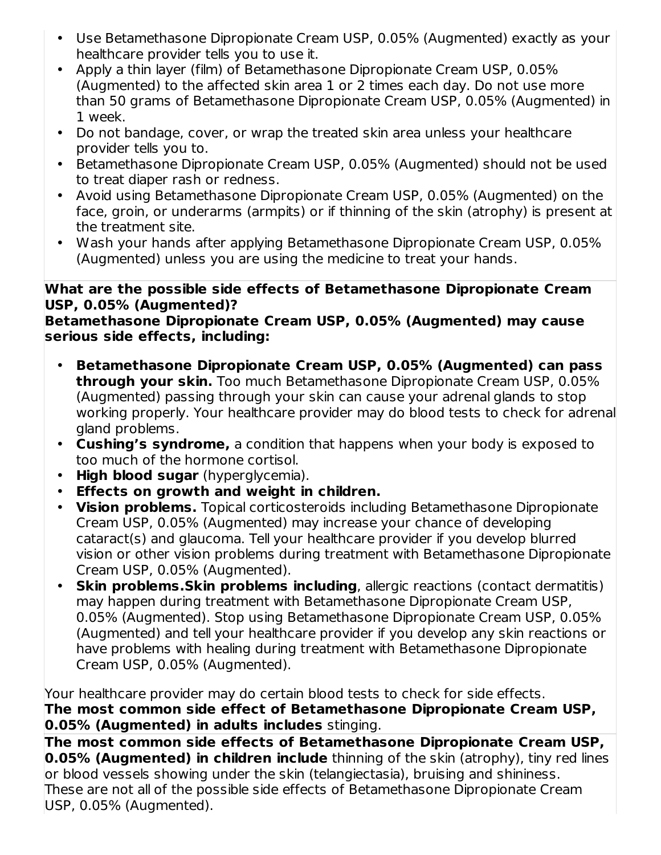- Use Betamethasone Dipropionate Cream USP, 0.05% (Augmented) exactly as your healthcare provider tells you to use it.
- Apply a thin layer (film) of Betamethasone Dipropionate Cream USP, 0.05% (Augmented) to the affected skin area 1 or 2 times each day. Do not use more than 50 grams of Betamethasone Dipropionate Cream USP, 0.05% (Augmented) in 1 week.
- Do not bandage, cover, or wrap the treated skin area unless your healthcare provider tells you to.
- Betamethasone Dipropionate Cream USP, 0.05% (Augmented) should not be used to treat diaper rash or redness.
- Avoid using Betamethasone Dipropionate Cream USP, 0.05% (Augmented) on the face, groin, or underarms (armpits) or if thinning of the skin (atrophy) is present at the treatment site.
- Wash your hands after applying Betamethasone Dipropionate Cream USP, 0.05% (Augmented) unless you are using the medicine to treat your hands.

#### **What are the possible side effects of Betamethasone Dipropionate Cream USP, 0.05% (Augmented)?**

**Betamethasone Dipropionate Cream USP, 0.05% (Augmented) may cause serious side effects, including:**

- **Betamethasone Dipropionate Cream USP, 0.05% (Augmented) can pass through your skin.** Too much Betamethasone Dipropionate Cream USP, 0.05% (Augmented) passing through your skin can cause your adrenal glands to stop working properly. Your healthcare provider may do blood tests to check for adrenal gland problems.
- **Cushing's syndrome,** a condition that happens when your body is exposed to too much of the hormone cortisol.
- **High blood sugar** (hyperglycemia).
- **Effects on growth and weight in children.**
- **Vision problems.** Topical corticosteroids including Betamethasone Dipropionate Cream USP, 0.05% (Augmented) may increase your chance of developing cataract(s) and glaucoma. Tell your healthcare provider if you develop blurred vision or other vision problems during treatment with Betamethasone Dipropionate Cream USP, 0.05% (Augmented).
- **Skin problems.Skin problems including**, allergic reactions (contact dermatitis) may happen during treatment with Betamethasone Dipropionate Cream USP, 0.05% (Augmented). Stop using Betamethasone Dipropionate Cream USP, 0.05% (Augmented) and tell your healthcare provider if you develop any skin reactions or have problems with healing during treatment with Betamethasone Dipropionate Cream USP, 0.05% (Augmented).

Your healthcare provider may do certain blood tests to check for side effects. **The most common side effect of Betamethasone Dipropionate Cream USP, 0.05% (Augmented) in adults includes** stinging.

**The most common side effects of Betamethasone Dipropionate Cream USP, 0.05% (Augmented) in children include** thinning of the skin (atrophy), tiny red lines or blood vessels showing under the skin (telangiectasia), bruising and shininess. These are not all of the possible side effects of Betamethasone Dipropionate Cream USP, 0.05% (Augmented).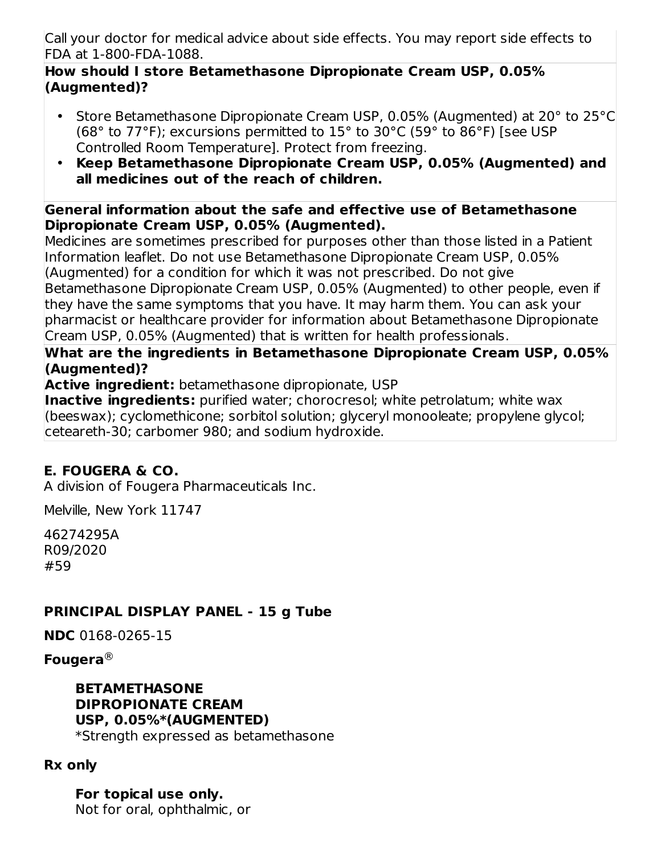Call your doctor for medical advice about side effects. You may report side effects to FDA at 1-800-FDA-1088.

#### **How should I store Betamethasone Dipropionate Cream USP, 0.05% (Augmented)?**

- Store Betamethasone Dipropionate Cream USP, 0.05% (Augmented) at 20° to 25°C (68° to 77°F); excursions permitted to 15° to 30°C (59° to 86°F) [see USP Controlled Room Temperature]. Protect from freezing.
- **Keep Betamethasone Dipropionate Cream USP, 0.05% (Augmented) and all medicines out of the reach of children.**

#### **General information about the safe and effective use of Betamethasone Dipropionate Cream USP, 0.05% (Augmented).**

Medicines are sometimes prescribed for purposes other than those listed in a Patient Information leaflet. Do not use Betamethasone Dipropionate Cream USP, 0.05% (Augmented) for a condition for which it was not prescribed. Do not give Betamethasone Dipropionate Cream USP, 0.05% (Augmented) to other people, even if they have the same symptoms that you have. It may harm them. You can ask your pharmacist or healthcare provider for information about Betamethasone Dipropionate Cream USP, 0.05% (Augmented) that is written for health professionals.

### **What are the ingredients in Betamethasone Dipropionate Cream USP, 0.05% (Augmented)?**

**Active ingredient:** betamethasone dipropionate, USP

**Inactive ingredients:** purified water; chorocresol; white petrolatum; white wax (beeswax); cyclomethicone; sorbitol solution; glyceryl monooleate; propylene glycol; ceteareth-30; carbomer 980; and sodium hydroxide.

# **E. FOUGERA & CO.**

A division of Fougera Pharmaceuticals Inc.

Melville, New York 11747

46274295A R09/2020 #59

# **PRINCIPAL DISPLAY PANEL - 15 g Tube**

**NDC** 0168-0265-15

**Fougera** ®

#### **BETAMETHASONE DIPROPIONATE CREAM USP, 0.05%\*(AUGMENTED)** \*Strength expressed as betamethasone

**Rx only**

**For topical use only.** Not for oral, ophthalmic, or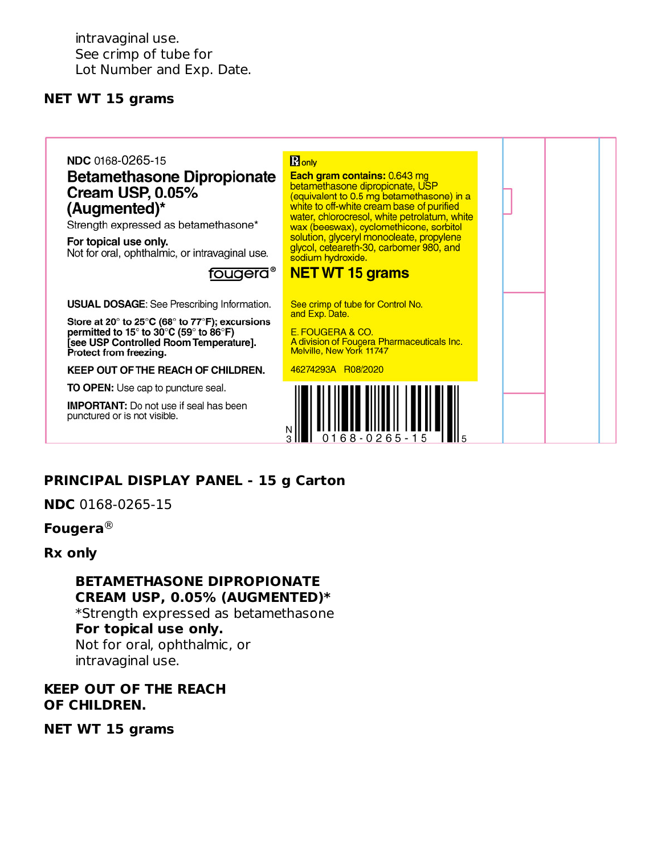intravaginal use. See crimp of tube for Lot Number and Exp. Date.

#### **NET WT 15 grams**

#### NDC 0168-0265-15

#### **Betamethasone Dipropionate Cream USP, 0.05%** (Augmented)\*

Strength expressed as betamethasone\*

For topical use only. Not for oral, ophthalmic, or intravaginal use.

#### fougera®

**USUAL DOSAGE:** See Prescribing Information.

Store at 20° to 25°C (68° to 77°F); excursions permitted to 15° to 30°C (59° to 86°F) [see USP Controlled Room Temperature]. Protect from freezing.

KEEP OUT OF THE REACH OF CHILDREN.

TO OPEN: Use cap to puncture seal.

**IMPORTANT:** Do not use if seal has been punctured or is not visible.

**R** only Each gram contains: 0.643 mg betamethasone dipropionate, USP<br>(equivalent to 0.5 mg betamethasone) in a white to off-white cream base of purified water, chlorocresol, white petrolatum, white wax (beeswax), cyclomethicone, sorbitol solution, glyceryl monooleate, propylene<br>glycol, ceteareth-30, carbomer 980, and sodium hydroxide.

#### **NET WT 15 grams**

See crimp of tube for Control No. and Exp. Date.

E. FOUGERA & CO. A division of Fougera Pharmaceuticals Inc. Melville, New York 11747

46274293A R08/2020



## **PRINCIPAL DISPLAY PANEL - 15 g Carton**

**NDC** 0168-0265-15

#### **Fougera** ®

#### **Rx only**

**BETAMETHASONE DIPROPIONATE CREAM USP, 0.05% (AUGMENTED)\*** \*Strength expressed as betamethasone **For topical use only.** Not for oral, ophthalmic, or

intravaginal use.

#### **KEEP OUT OF THE REACH OF CHILDREN.**

**NET WT 15 grams**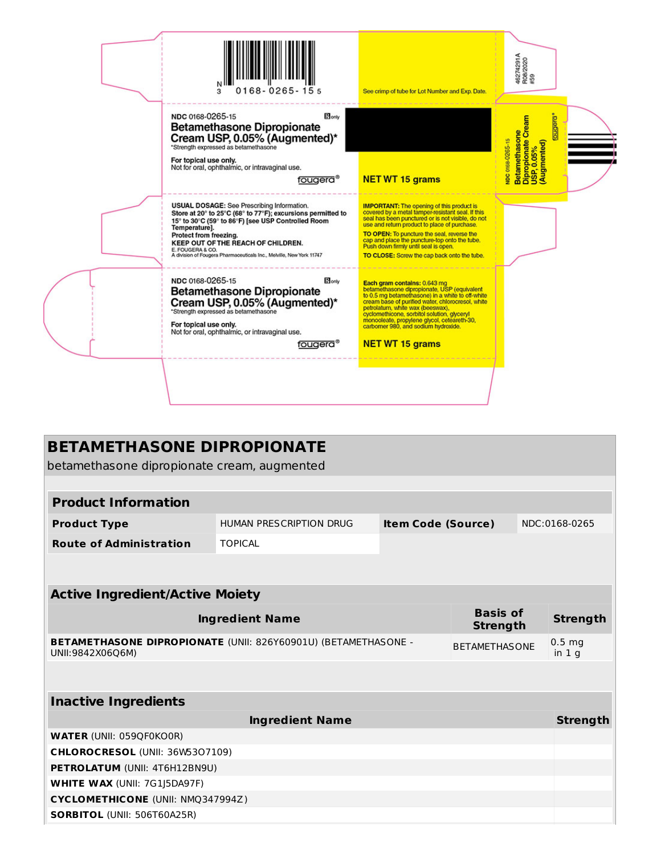| NDC 0168-0265-15<br><b>B</b> lonly<br>Betamethasone<br>Dipropionate Cream<br>USP, 0.05%<br>(Augmented)<br>prebno<br><b>Betamethasone Dipropionate</b><br>Cream USP, 0.05% (Augmented)*<br>VDC 0168-0265-15<br>*Strength expressed as betamethasone<br>For topical use only.<br>Not for oral, ophthalmic, or intravaginal use.<br><b>NET WT 15 grams</b><br>fougera®<br><b>USUAL DOSAGE:</b> See Prescribing Information.<br><b>IMPORTANT:</b> The opening of this product is<br>covered by a metal tamper-resistant seal. If this<br>Store at 20° to 25°C (68° to 77°F); excursions permitted to<br>seal has been punctured or is not visible, do not<br>15° to 30°C (59° to 86°F) [see USP Controlled Room<br>use and return product to place of purchase.<br>Temperature].<br>TO OPEN: To puncture the seal, reverse the<br>Protect from freezing.<br>cap and place the puncture-top onto the tube.<br>KEEP OUT OF THE REACH OF CHILDREN.<br>Push down firmly until seal is open.<br>E. FOUGERA & CO.<br>A division of Fougera Pharmaceuticals Inc., Melville, New York 11747<br>TO CLOSE: Screw the cap back onto the tube.<br>NDC 0168-0265-15<br>$B_{\text{only}}$<br>Each gram contains: 0.643 mg<br>betamethasone dipropionate, USP (equivalent<br><b>Betamethasone Dipropionate</b><br>to 0.5 mg betamethasone) in a white to off-white<br>Cream USP, 0.05% (Augmented)*<br>cream base of purified water, chlorocresol, white<br>petrolatum, white wax (beeswax), | $0168 - 0265 - 155$<br>3             | See crimp of tube for Lot Number and Exp. Date. | 46274291A<br>R08/2020<br>#59 |
|---------------------------------------------------------------------------------------------------------------------------------------------------------------------------------------------------------------------------------------------------------------------------------------------------------------------------------------------------------------------------------------------------------------------------------------------------------------------------------------------------------------------------------------------------------------------------------------------------------------------------------------------------------------------------------------------------------------------------------------------------------------------------------------------------------------------------------------------------------------------------------------------------------------------------------------------------------------------------------------------------------------------------------------------------------------------------------------------------------------------------------------------------------------------------------------------------------------------------------------------------------------------------------------------------------------------------------------------------------------------------------------------------------------------------------------------------------------------------|--------------------------------------|-------------------------------------------------|------------------------------|
|                                                                                                                                                                                                                                                                                                                                                                                                                                                                                                                                                                                                                                                                                                                                                                                                                                                                                                                                                                                                                                                                                                                                                                                                                                                                                                                                                                                                                                                                           |                                      |                                                 |                              |
|                                                                                                                                                                                                                                                                                                                                                                                                                                                                                                                                                                                                                                                                                                                                                                                                                                                                                                                                                                                                                                                                                                                                                                                                                                                                                                                                                                                                                                                                           |                                      |                                                 |                              |
| monooleate, propylene givcol, ceteareth-30,<br>For topical use only.<br>carbomer 980, and sodium hydroxide.<br>Not for oral, ophthalmic, or intravaginal use.<br><b>NET WT 15 grams</b><br>fougera®                                                                                                                                                                                                                                                                                                                                                                                                                                                                                                                                                                                                                                                                                                                                                                                                                                                                                                                                                                                                                                                                                                                                                                                                                                                                       | *Strength expressed as betamethasone | cyclomethicone, sorbitol solution, glyceryl     |                              |

| <b>BETAMETHASONE DIPROPIONATE</b>                                                                          |                         |                           |  |  |                    |  |  |
|------------------------------------------------------------------------------------------------------------|-------------------------|---------------------------|--|--|--------------------|--|--|
| betamethasone dipropionate cream, augmented                                                                |                         |                           |  |  |                    |  |  |
|                                                                                                            |                         |                           |  |  |                    |  |  |
| <b>Product Information</b>                                                                                 |                         |                           |  |  |                    |  |  |
| <b>Product Type</b>                                                                                        | HUMAN PRESCRIPTION DRUG | <b>Item Code (Source)</b> |  |  | NDC:0168-0265      |  |  |
| <b>Route of Administration</b>                                                                             | <b>TOPICAL</b>          |                           |  |  |                    |  |  |
|                                                                                                            |                         |                           |  |  |                    |  |  |
|                                                                                                            |                         |                           |  |  |                    |  |  |
| <b>Active Ingredient/Active Moiety</b>                                                                     |                         |                           |  |  |                    |  |  |
| <b>Basis of</b><br><b>Ingredient Name</b><br><b>Strength</b>                                               |                         |                           |  |  | <b>Strength</b>    |  |  |
| BETAMETHASONE DIPROPIONATE (UNII: 826Y60901U) (BETAMETHASONE -<br><b>BETAMETHASONE</b><br>UNII:9842X06Q6M) |                         |                           |  |  | $0.5$ mg<br>in 1 q |  |  |
|                                                                                                            |                         |                           |  |  |                    |  |  |
| <b>Inactive Ingredients</b>                                                                                |                         |                           |  |  |                    |  |  |
| <b>Ingredient Name</b>                                                                                     |                         |                           |  |  |                    |  |  |
| <b>WATER (UNII: 059QF0KO0R)</b>                                                                            |                         |                           |  |  |                    |  |  |
| CHLOROCRESOL (UNII: 36W5307109)                                                                            |                         |                           |  |  |                    |  |  |
| PETROLATUM (UNII: 4T6H12BN9U)                                                                              |                         |                           |  |  |                    |  |  |
| <b>WHITE WAX (UNII: 7G1J5DA97F)</b>                                                                        |                         |                           |  |  |                    |  |  |
| <b>CYCLOMETHICONE (UNII: NMQ347994Z)</b>                                                                   |                         |                           |  |  |                    |  |  |
| <b>SORBITOL (UNII: 506T60A25R)</b>                                                                         |                         |                           |  |  |                    |  |  |